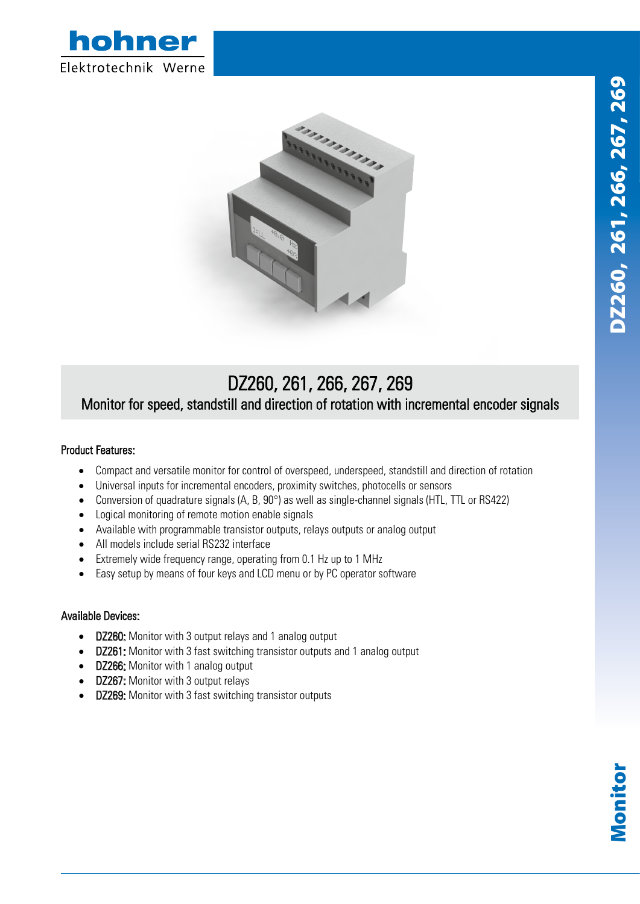



## DZ260, 261, 266, 267, 269 Monitor for speed, standstill and direction of rotation with incremental encoder signals

## Product Features:

- Compact and versatile monitor for control of overspeed, underspeed, standstill and direction of rotation
- Universal inputs for incremental encoders, proximity switches, photocells or sensors
- Conversion of quadrature signals  $(A, B, 90^\circ)$  as well as single-channel signals (HTL, TTL or RS422)
- Logical monitoring of remote motion enable signals
- Available with programmable transistor outputs, relays outputs or analog output
- All models include serial RS232 interface
- Extremely wide frequency range, operating from 0.1 Hz up to 1 MHz
- Easy setup by means of four keys and LCD menu or by PC operator software

## Available Devices:

- DZ260: Monitor with 3 output relays and 1 analog output
- DZ261: Monitor with 3 fast switching transistor outputs and 1 analog output
- DZ266: Monitor with 1 analog output
- DZ267: Monitor with 3 output relays
- DZ269: Monitor with 3 fast switching transistor outputs